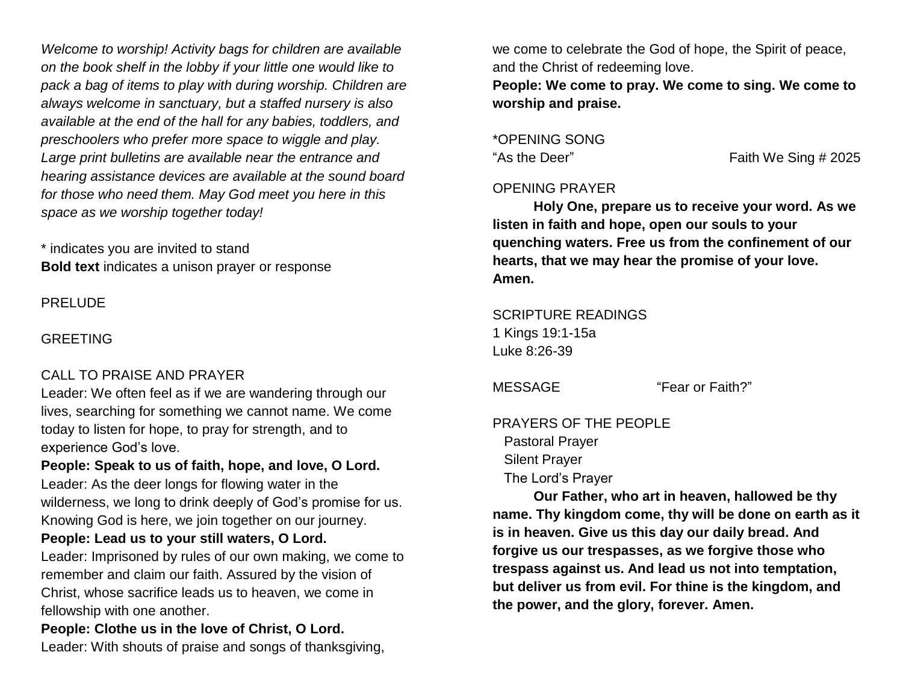*Welcome to worship! Activity bags for children are available on the book shelf in the lobby if your little one would like to pack a bag of items to play with during worship. Children are always welcome in sanctuary, but a staffed nursery is also available at the end of the hall for any babies, toddlers, and preschoolers who prefer more space to wiggle and play. Large print bulletins are available near the entrance and hearing assistance devices are available at the sound board for those who need them. May God meet you here in this space as we worship together today!*

\* indicates you are invited to stand **Bold text** indicates a unison prayer or response

PRELUDE

### GREETING

## CALL TO PRAISE AND PRAYER

Leader: We often feel as if we are wandering through our lives, searching for something we cannot name. We come today to listen for hope, to pray for strength, and to experience God's love.

**People: Speak to us of faith, hope, and love, O Lord.** Leader: As the deer longs for flowing water in the wilderness, we long to drink deeply of God's promise for us. Knowing God is here, we join together on our journey. **People: Lead us to your still waters, O Lord.**

Leader: Imprisoned by rules of our own making, we come to remember and claim our faith. Assured by the vision of Christ, whose sacrifice leads us to heaven, we come in fellowship with one another.

**People: Clothe us in the love of Christ, O Lord.** Leader: With shouts of praise and songs of thanksgiving, we come to celebrate the God of hope, the Spirit of peace, and the Christ of redeeming love.

**People: We come to pray. We come to sing. We come to worship and praise.**

## \*OPENING SONG

"As the Deer" Faith We Sing # 2025

### OPENING PRAYER

**Holy One, prepare us to receive your word. As we listen in faith and hope, open our souls to your quenching waters. Free us from the confinement of our hearts, that we may hear the promise of your love. Amen.**

SCRIPTURE READINGS 1 Kings 19:1-15a Luke 8:26-39

MESSAGE "Fear or Faith?"

## PRAYERS OF THE PEOPLE Pastoral Prayer Silent Prayer The Lord's Prayer

**Our Father, who art in heaven, hallowed be thy name. Thy kingdom come, thy will be done on earth as it is in heaven. Give us this day our daily bread. And forgive us our trespasses, as we forgive those who trespass against us. And lead us not into temptation, but deliver us from evil. For thine is the kingdom, and the power, and the glory, forever. Amen.**